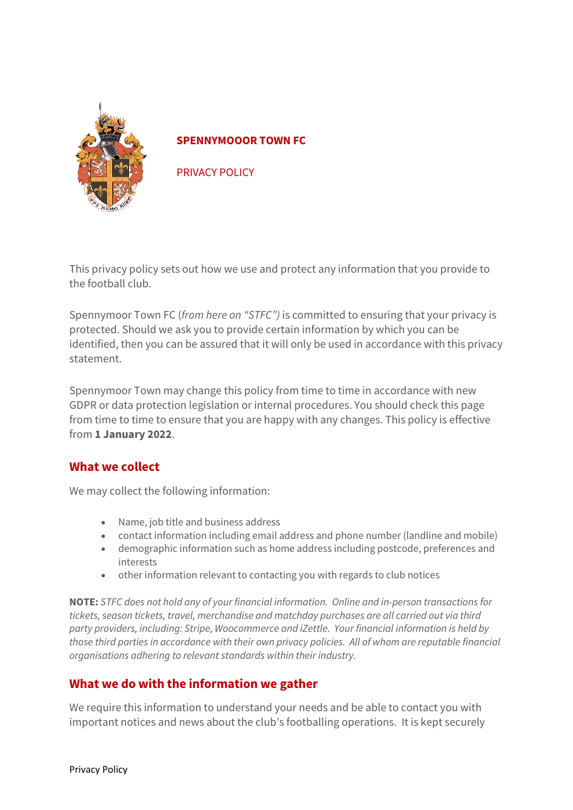

**SPENNYMOOOR TOWN FC**

PRIVACY POLICY

This privacy policy sets out how we use and protect any information that you provide to the football club.

Spennymoor Town FC (*from here on "STFC")* is committed to ensuring that your privacy is protected. Should we ask you to provide certain information by which you can be identified, then you can be assured that it will only be used in accordance with this privacy statement.

Spennymoor Town may change this policy from time to time in accordance with new GDPR or data protection legislation or internal procedures. You should check this page from time to time to ensure that you are happy with any changes. This policy is effective from **1 January 2022**.

#### **What we collect**

We may collect the following information:

- Name, job title and business address
- contact information including email address and phone number (landline and mobile)
- demographic information such as home address including postcode, preferences and interests
- other information relevant to contacting you with regards to club notices

**NOTE:** *STFC does not hold any of your financial information. Online and in-person transactions for tickets, season tickets, travel, merchandise and matchday purchases are all carried out via third party providers, including: Stripe, Woocommerce and iZettle. Your financial information is held by those third parties in accordance with their own privacy policies. All of whom are reputable financial organisations adhering to relevant standards within their industry.*

### **What we do with the information we gather**

We require this information to understand your needs and be able to contact you with important notices and news about the club's footballing operations. It is kept securely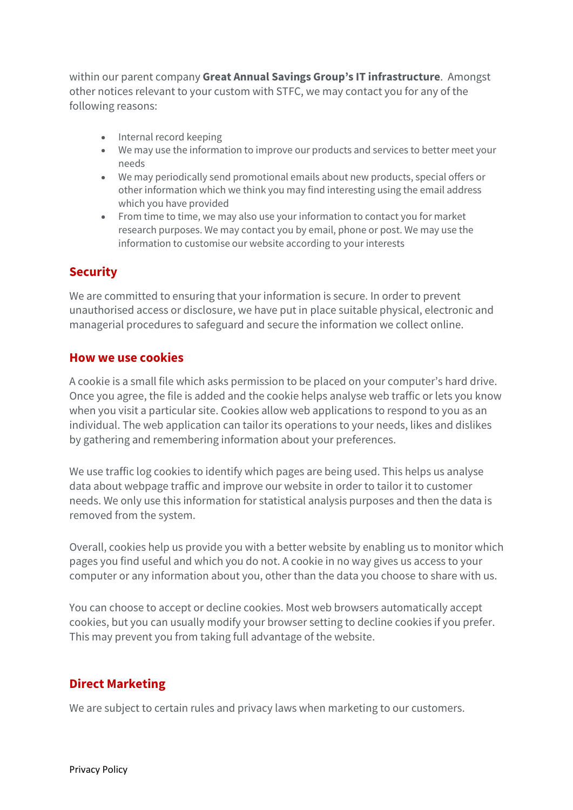within our parent company **Great Annual Savings Group's IT infrastructure**. Amongst other notices relevant to your custom with STFC, we may contact you for any of the following reasons:

- Internal record keeping
- We may use the information to improve our products and services to better meet your needs
- We may periodically send promotional emails about new products, special offers or other information which we think you may find interesting using the email address which you have provided
- From time to time, we may also use your information to contact you for market research purposes. We may contact you by email, phone or post. We may use the information to customise our website according to your interests

## **Security**

We are committed to ensuring that your information is secure. In order to prevent unauthorised access or disclosure, we have put in place suitable physical, electronic and managerial procedures to safeguard and secure the information we collect online.

#### **How we use cookies**

A cookie is a small file which asks permission to be placed on your computer's hard drive. Once you agree, the file is added and the cookie helps analyse web traffic or lets you know when you visit a particular site. Cookies allow web applications to respond to you as an individual. The web application can tailor its operations to your needs, likes and dislikes by gathering and remembering information about your preferences.

We use traffic log cookies to identify which pages are being used. This helps us analyse data about webpage traffic and improve our website in order to tailor it to customer needs. We only use this information for statistical analysis purposes and then the data is removed from the system.

Overall, cookies help us provide you with a better website by enabling us to monitor which pages you find useful and which you do not. A cookie in no way gives us access to your computer or any information about you, other than the data you choose to share with us.

You can choose to accept or decline cookies. Most web browsers automatically accept cookies, but you can usually modify your browser setting to decline cookies if you prefer. This may prevent you from taking full advantage of the website.

# **Direct Marketing**

We are subject to certain rules and privacy laws when marketing to our customers.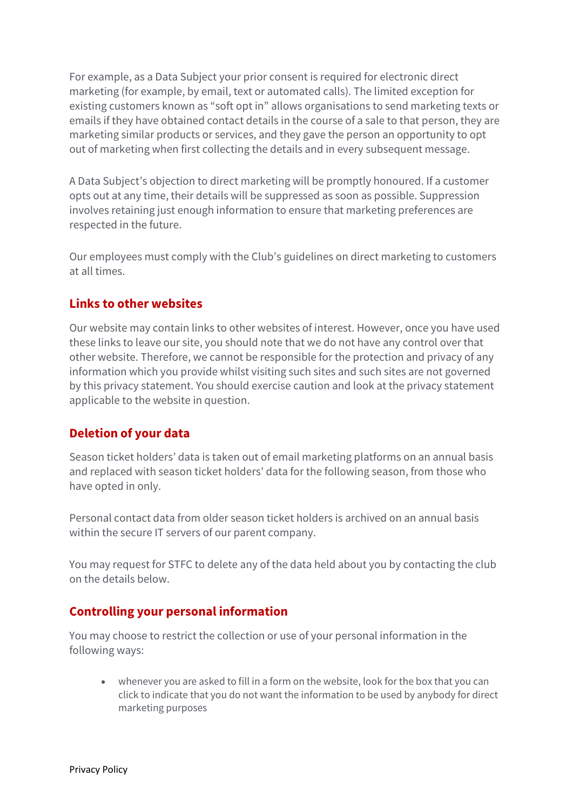For example, as a Data Subject your prior consent is required for electronic direct marketing (for example, by email, text or automated calls). The limited exception for existing customers known as "soft opt in" allows organisations to send marketing texts or emails if they have obtained contact details in the course of a sale to that person, they are marketing similar products or services, and they gave the person an opportunity to opt out of marketing when first collecting the details and in every subsequent message.

A Data Subject's objection to direct marketing will be promptly honoured. If a customer opts out at any time, their details will be suppressed as soon as possible. Suppression involves retaining just enough information to ensure that marketing preferences are respected in the future.

Our employees must comply with the Club's guidelines on direct marketing to customers at all times.

## **Links to other websites**

Our website may contain links to other websites of interest. However, once you have used these links to leave our site, you should note that we do not have any control over that other website. Therefore, we cannot be responsible for the protection and privacy of any information which you provide whilst visiting such sites and such sites are not governed by this privacy statement. You should exercise caution and look at the privacy statement applicable to the website in question.

# **Deletion of your data**

Season ticket holders' data is taken out of email marketing platforms on an annual basis and replaced with season ticket holders' data for the following season, from those who have opted in only.

Personal contact data from older season ticket holders is archived on an annual basis within the secure IT servers of our parent company.

You may request for STFC to delete any of the data held about you by contacting the club on the details below.

### **Controlling your personal information**

You may choose to restrict the collection or use of your personal information in the following ways:

• whenever you are asked to fill in a form on the website, look for the box that you can click to indicate that you do not want the information to be used by anybody for direct marketing purposes